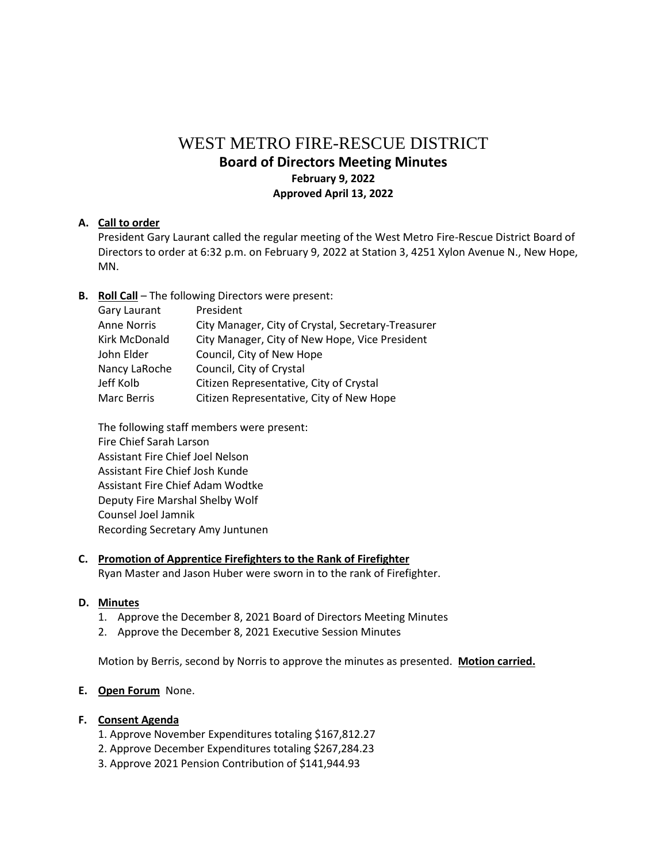# WEST METRO FIRE-RESCUE DISTRICT **Board of Directors Meeting Minutes February 9, 2022 Approved April 13, 2022**

## **A. Call to order**

President Gary Laurant called the regular meeting of the West Metro Fire-Rescue District Board of Directors to order at 6:32 p.m. on February 9, 2022 at Station 3, 4251 Xylon Avenue N., New Hope, MN.

## **B. Roll Call** – The following Directors were present:

| President                                          |
|----------------------------------------------------|
| City Manager, City of Crystal, Secretary-Treasurer |
| City Manager, City of New Hope, Vice President     |
| Council, City of New Hope                          |
| Council, City of Crystal                           |
| Citizen Representative, City of Crystal            |
| Citizen Representative, City of New Hope           |
|                                                    |

The following staff members were present: Fire Chief Sarah Larson Assistant Fire Chief Joel Nelson Assistant Fire Chief Josh Kunde Assistant Fire Chief Adam Wodtke Deputy Fire Marshal Shelby Wolf Counsel Joel Jamnik Recording Secretary Amy Juntunen

## **C. Promotion of Apprentice Firefighters to the Rank of Firefighter**

Ryan Master and Jason Huber were sworn in to the rank of Firefighter.

## **D. Minutes**

- 1. Approve the December 8, 2021 Board of Directors Meeting Minutes
- 2. Approve the December 8, 2021 Executive Session Minutes

Motion by Berris, second by Norris to approve the minutes as presented. **Motion carried.**

## **E. Open Forum** None.

## **F. Consent Agenda**

- 1. Approve November Expenditures totaling \$167,812.27
- 2. Approve December Expenditures totaling \$267,284.23
- 3. Approve 2021 Pension Contribution of \$141,944.93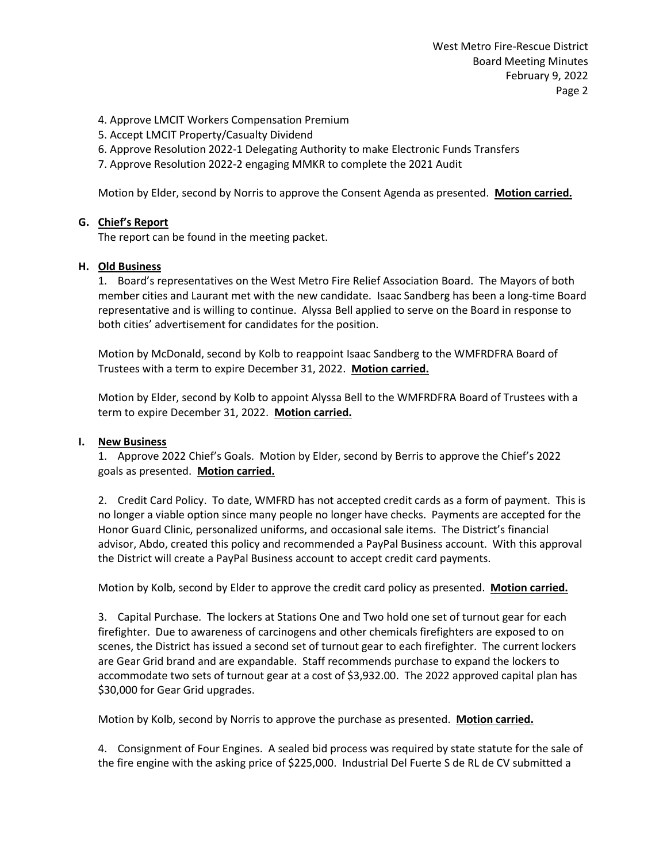- 4. Approve LMCIT Workers Compensation Premium
- 5. Accept LMCIT Property/Casualty Dividend
- 6. Approve Resolution 2022-1 Delegating Authority to make Electronic Funds Transfers
- 7. Approve Resolution 2022-2 engaging MMKR to complete the 2021 Audit

Motion by Elder, second by Norris to approve the Consent Agenda as presented. **Motion carried.**

## **G. Chief's Report**

The report can be found in the meeting packet.

## **H. Old Business**

1. Board's representatives on the West Metro Fire Relief Association Board. The Mayors of both member cities and Laurant met with the new candidate. Isaac Sandberg has been a long-time Board representative and is willing to continue. Alyssa Bell applied to serve on the Board in response to both cities' advertisement for candidates for the position.

Motion by McDonald, second by Kolb to reappoint Isaac Sandberg to the WMFRDFRA Board of Trustees with a term to expire December 31, 2022. **Motion carried.**

Motion by Elder, second by Kolb to appoint Alyssa Bell to the WMFRDFRA Board of Trustees with a term to expire December 31, 2022. **Motion carried.**

## **I. New Business**

1. Approve 2022 Chief's Goals. Motion by Elder, second by Berris to approve the Chief's 2022 goals as presented. **Motion carried.**

2. Credit Card Policy. To date, WMFRD has not accepted credit cards as a form of payment. This is no longer a viable option since many people no longer have checks. Payments are accepted for the Honor Guard Clinic, personalized uniforms, and occasional sale items. The District's financial advisor, Abdo, created this policy and recommended a PayPal Business account. With this approval the District will create a PayPal Business account to accept credit card payments.

Motion by Kolb, second by Elder to approve the credit card policy as presented. **Motion carried.**

3. Capital Purchase. The lockers at Stations One and Two hold one set of turnout gear for each firefighter. Due to awareness of carcinogens and other chemicals firefighters are exposed to on scenes, the District has issued a second set of turnout gear to each firefighter. The current lockers are Gear Grid brand and are expandable. Staff recommends purchase to expand the lockers to accommodate two sets of turnout gear at a cost of \$3,932.00. The 2022 approved capital plan has \$30,000 for Gear Grid upgrades.

Motion by Kolb, second by Norris to approve the purchase as presented. **Motion carried.**

4. Consignment of Four Engines. A sealed bid process was required by state statute for the sale of the fire engine with the asking price of \$225,000. Industrial Del Fuerte S de RL de CV submitted a